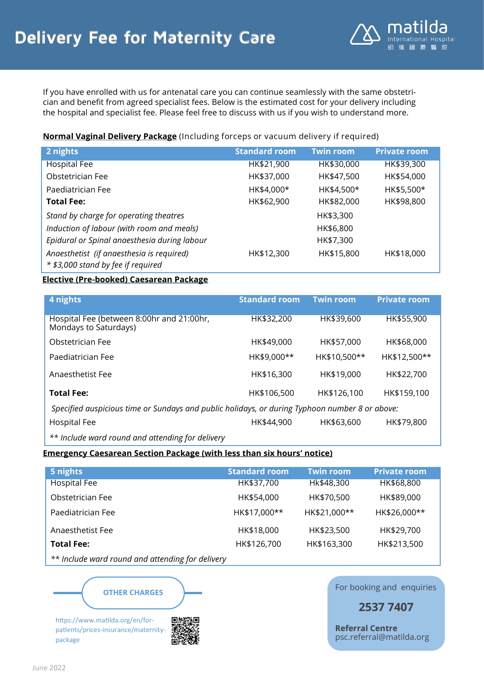

If you have enrolled with us for antenatal care you can continue seamlessly with the same obstetrician and benefit from agreed specialist fees. Below is the estimated cost for your delivery including the hospital and specialist fee. Please feel free to discuss with us if you wish to understand more.

## **Normal Vaginal Delivery Package** (Including forceps or vacuum delivery if required)

| 2 nights                                                                        | <b>Standard room</b> | <b>Twin room</b> | <b>Private room</b> |
|---------------------------------------------------------------------------------|----------------------|------------------|---------------------|
| Hospital Fee                                                                    | HK\$21,900           | HK\$30,000       | HK\$39,300          |
| Obstetrician Fee                                                                | HK\$37,000           | HK\$47,500       | HK\$54,000          |
| Paediatrician Fee                                                               | HK\$4,000*           | HK\$4,500*       | HK\$5,500*          |
| <b>Total Fee:</b>                                                               | HK\$62,900           | HK\$82,000       | HK\$98,800          |
| Stand by charge for operating theatres                                          |                      | HK\$3,300        |                     |
| Induction of labour (with room and meals)                                       |                      | HK\$6,800        |                     |
| Epidural or Spinal anaesthesia during labour                                    |                      | HK\$7,300        |                     |
| Anaesthetist (if anaesthesia is required)<br>* \$3,000 stand by fee if required | HK\$12,300           | HK\$15,800       | HK\$18,000          |

## **Elective (Pre-booked) Caesarean Package**

| 4 nights                                                                                       | <b>Standard room</b> | <b>Twin room</b> | <b>Private room</b> |
|------------------------------------------------------------------------------------------------|----------------------|------------------|---------------------|
| Hospital Fee (between 8:00hr and 21:00hr,<br>Mondays to Saturdays)                             | HK\$32,200           | HK\$39,600       | HK\$55,900          |
| Obstetrician Fee                                                                               | HK\$49,000           | HK\$57,000       | HK\$68,000          |
| Paediatrician Fee                                                                              | HK\$9,000**          | HK\$10,500**     | HK\$12,500**        |
| Anaesthetist Fee                                                                               | HK\$16,300           | HK\$19,000       | HK\$22,700          |
| <b>Total Fee:</b>                                                                              | HK\$106,500          | HK\$126,100      | HK\$159,100         |
| Specified auspicious time or Sundays and public holidays, or during Typhoon number 8 or above: |                      |                  |                     |

Hospital Fee **HK\$44,900** HK\$63,600 HK\$79,800

*\*\* Include ward round and attending for delivery*

## **Emergency Caesarean Section Package (with less than six hours' notice)**

| 5 nights          | Standard room | <b>Twin room</b> | <b>Private room</b> |
|-------------------|---------------|------------------|---------------------|
| Hospital Fee      | HK\$37,700    | Hk\$48,300       | HK\$68,800          |
| Obstetrician Fee  | HK\$54,000    | HK\$70,500       | HK\$89,000          |
| Paediatrician Fee | HK\$17,000**  | HK\$21,000**     | HK\$26,000**        |
| Anaesthetist Fee  | HK\$18,000    | HK\$23,500       | HK\$29,700          |
| <b>Total Fee:</b> | HK\$126,700   | HK\$163,300      | HK\$213,500         |

*\*\* Include ward round and attending for delivery*



https://www.matilda.org/en/forpatients/prices-insurance/maternitypackage



For booking and enquiries

**2537 7407**

**Referral Centre** psc.referral@matilda.org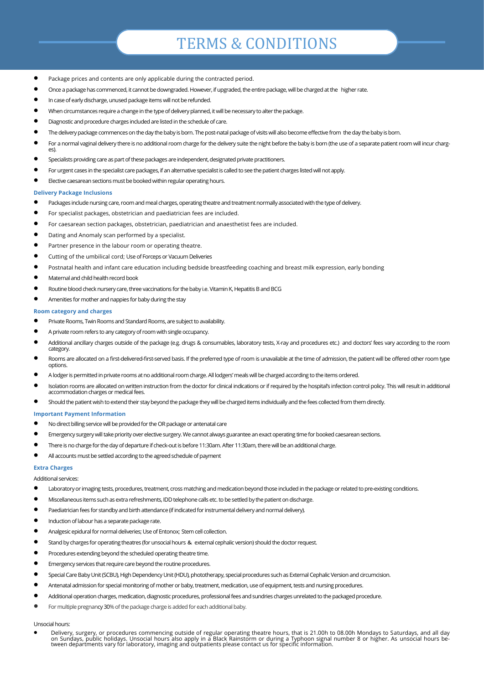## TERMS & CONDITIONS

- Package prices and contents are only applicable during the contracted period.
- Once a package has commenced, it cannot be downgraded. However, if upgraded, the entire package, will be charged at the higher rate.
- In case of early discharge, unused package items will not be refunded.
- When circumstances require a change in the type of delivery planned, it will be necessary to alter the package.
- Diagnostic and procedure charges included are listed in the schedule of care.
- The delivery package commences on the day the baby is born. The post-natal package of visits will also become effective from the day the baby is born.
- For a normal vaginal delivery there is no additional room charge for the delivery suite the night before the baby is born (the use of a separate patient room will incur charg- $\rho_S$
- Specialists providing care as part of these packages are independent, designated private practitioners.
- For urgent cases in the specialist care packages, if an alternative specialist is called to see the patient charges listed will not apply.
- Elective caesarean sections must be booked within regular operating hours.

#### **Delivery Package Inclusions**

- Packages include nursing care, room and meal charges, operating theatre and treatment normally associated with the type of delivery.
- For specialist packages, obstetrician and paediatrician fees are included.
- For caesarean section packages, obstetrician, paediatrician and anaesthetist fees are included.
- Dating and Anomaly scan performed by a specialist.
- Partner presence in the labour room or operating theatre.
- Cutting of the umbilical cord; Use of Forceps or Vacuum Deliveries
- Postnatal health and infant care education including bedside breastfeeding coaching and breast milk expression, early bonding
- Maternal and child health record book
- Routine blood check nursery care, three vaccinations for the baby i.e. Vitamin K, Hepatitis B and BCG
- Amenities for mother and nappies for baby during the stay

#### **Room category and charges**

- Private Rooms, Twin Rooms and Standard Rooms, are subject to availability.
- A private room refers to any category of room with single occupancy.
- Additional ancillary charges outside of the package (e.g. drugs & consumables, laboratory tests, X-ray and procedures etc.) and doctors' fees vary according to the room category.
- Rooms are allocated on a first-delivered-first-served basis. If the preferred type of room is unavailable at the time of admission, the patient will be offered other room type options.
- A lodger is permitted in private rooms at no additional room charge. All lodgers' meals will be charged according to the items ordered.
- Isolation rooms are allocated on written instruction from the doctor for clinical indications or if required by the hospital's infection control policy. This will result in additional accommodation charges or medical fees.
- Should the patient wish to extend their stay beyond the package they will be charged items individually and the fees collected from them directly.

#### **Important Payment Information**

- No direct billing service will be provided for the OR package or antenatal care
- Emergency surgery will take priority over elective surgery. We cannot always guarantee an exact operating time for booked caesarean sections.
- There is no charge for the day of departure if check-out is before 11:30am. After 11:30am, there will be an additional charge.
- All accounts must be settled according to the agreed schedule of payment

#### **Extra Charges**

Additional services:

- Laboratory or imaging tests, procedures, treatment, cross matching and medication beyond those included in the package or related to pre-existing conditions.
- Miscellaneous items such as extra refreshments, IDD telephone calls etc. to be settled by the patient on discharge.
- Paediatrician fees for standby and birth attendance (if indicated for instrumental delivery and normal delivery).
- Induction of labour has a separate package rate.
- Analgesic epidural for normal deliveries; Use of Entonox; Stem cell collection.
- Stand by charges for operating theatres (for unsocial hours & external cephalic version) should the doctor request.
- Procedures extending beyond the scheduled operating theatre time.
- Emergency services that require care beyond the routine procedures.
- Special Care Baby Unit (SCBU), High Dependency Unit (HDU), phototherapy, special procedures such as External Cephalic Version and circumcision.
- Antenatal admission for special monitoring of mother or baby, treatment, medication, use of equipment, tests and nursing procedures.
- Additional operation charges, medication, diagnostic procedures, professional fees and sundries charges unrelated to the packaged procedure.
- For multiple pregnancy 30% of the package charge is added for each additional baby.

#### Unsocial hours:

• Delivery, surgery, or procedures commencing outside of regular operating theatre hours, that is 21.00h to 08.00h Mondays to Saturdays, and all day<br>on Sundays, public holidays. Unsocial hours also apply in a Black Rainsto